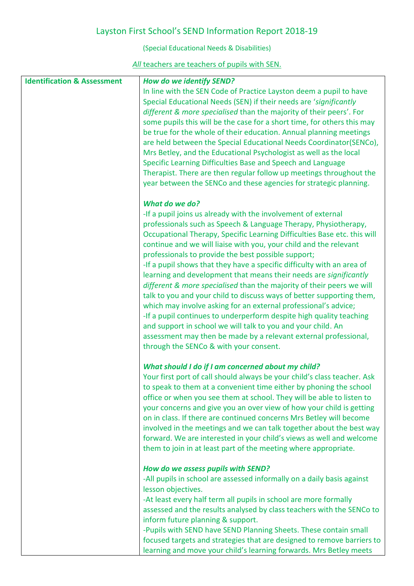## Layston First School's SEND Information Report 2018-19

(Special Educational Needs & Disabilities)

## *All* teachers are teachers of pupils with SEN.

| <b>Identification &amp; Assessment</b> | How do we identify SEND?                                                                                                                |  |
|----------------------------------------|-----------------------------------------------------------------------------------------------------------------------------------------|--|
|                                        | In line with the SEN Code of Practice Layston deem a pupil to have                                                                      |  |
|                                        | Special Educational Needs (SEN) if their needs are 'significantly                                                                       |  |
|                                        | different & more specialised than the majority of their peers'. For                                                                     |  |
|                                        | some pupils this will be the case for a short time, for others this may                                                                 |  |
|                                        | be true for the whole of their education. Annual planning meetings                                                                      |  |
|                                        | are held between the Special Educational Needs Coordinator(SENCo),                                                                      |  |
|                                        | Mrs Betley, and the Educational Psychologist as well as the local                                                                       |  |
|                                        | Specific Learning Difficulties Base and Speech and Language<br>Therapist. There are then regular follow up meetings throughout the      |  |
|                                        | year between the SENCo and these agencies for strategic planning.                                                                       |  |
|                                        |                                                                                                                                         |  |
|                                        | What do we do?                                                                                                                          |  |
|                                        | -If a pupil joins us already with the involvement of external                                                                           |  |
|                                        | professionals such as Speech & Language Therapy, Physiotherapy,                                                                         |  |
|                                        | Occupational Therapy, Specific Learning Difficulties Base etc. this will                                                                |  |
|                                        | continue and we will liaise with you, your child and the relevant                                                                       |  |
|                                        | professionals to provide the best possible support;                                                                                     |  |
|                                        | -If a pupil shows that they have a specific difficulty with an area of                                                                  |  |
|                                        | learning and development that means their needs are significantly                                                                       |  |
|                                        | different & more specialised than the majority of their peers we will                                                                   |  |
|                                        | talk to you and your child to discuss ways of better supporting them,                                                                   |  |
|                                        | which may involve asking for an external professional's advice;<br>-If a pupil continues to underperform despite high quality teaching  |  |
|                                        | and support in school we will talk to you and your child. An                                                                            |  |
|                                        | assessment may then be made by a relevant external professional,                                                                        |  |
|                                        | through the SENCo & with your consent.                                                                                                  |  |
|                                        |                                                                                                                                         |  |
|                                        | What should I do if I am concerned about my child?                                                                                      |  |
|                                        | Your first port of call should always be your child's class teacher. Ask                                                                |  |
|                                        | to speak to them at a convenient time either by phoning the school                                                                      |  |
|                                        | office or when you see them at school. They will be able to listen to                                                                   |  |
|                                        | your concerns and give you an over view of how your child is getting                                                                    |  |
|                                        | on in class. If there are continued concerns Mrs Betley will become                                                                     |  |
|                                        | involved in the meetings and we can talk together about the best way                                                                    |  |
|                                        | forward. We are interested in your child's views as well and welcome<br>them to join in at least part of the meeting where appropriate. |  |
|                                        |                                                                                                                                         |  |
|                                        | How do we assess pupils with SEND?                                                                                                      |  |
|                                        | -All pupils in school are assessed informally on a daily basis against                                                                  |  |
|                                        | lesson objectives.                                                                                                                      |  |
|                                        | -At least every half term all pupils in school are more formally                                                                        |  |
|                                        | assessed and the results analysed by class teachers with the SENCo to                                                                   |  |
|                                        | inform future planning & support.                                                                                                       |  |
|                                        | -Pupils with SEND have SEND Planning Sheets. These contain small                                                                        |  |
|                                        | focused targets and strategies that are designed to remove barriers to                                                                  |  |
|                                        | learning and move your child's learning forwards. Mrs Betley meets                                                                      |  |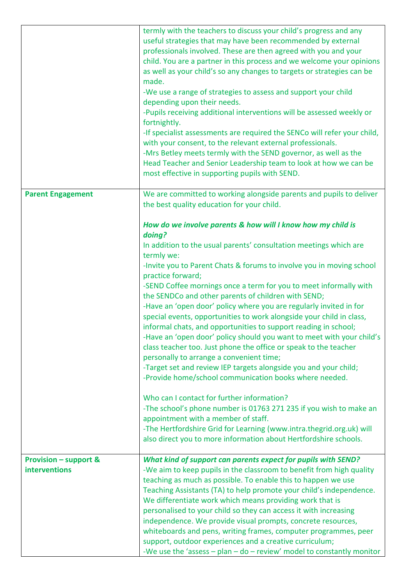|                                                          | termly with the teachers to discuss your child's progress and any<br>useful strategies that may have been recommended by external<br>professionals involved. These are then agreed with you and your<br>child. You are a partner in this process and we welcome your opinions<br>as well as your child's so any changes to targets or strategies can be<br>made.<br>-We use a range of strategies to assess and support your child<br>depending upon their needs.<br>-Pupils receiving additional interventions will be assessed weekly or<br>fortnightly.<br>-If specialist assessments are required the SENCo will refer your child,<br>with your consent, to the relevant external professionals.<br>-Mrs Betley meets termly with the SEND governor, as well as the<br>Head Teacher and Senior Leadership team to look at how we can be<br>most effective in supporting pupils with SEND.                                                                                                                                                                                                                                                                                                                                    |
|----------------------------------------------------------|----------------------------------------------------------------------------------------------------------------------------------------------------------------------------------------------------------------------------------------------------------------------------------------------------------------------------------------------------------------------------------------------------------------------------------------------------------------------------------------------------------------------------------------------------------------------------------------------------------------------------------------------------------------------------------------------------------------------------------------------------------------------------------------------------------------------------------------------------------------------------------------------------------------------------------------------------------------------------------------------------------------------------------------------------------------------------------------------------------------------------------------------------------------------------------------------------------------------------------|
| <b>Parent Engagement</b>                                 | We are committed to working alongside parents and pupils to deliver<br>the best quality education for your child.                                                                                                                                                                                                                                                                                                                                                                                                                                                                                                                                                                                                                                                                                                                                                                                                                                                                                                                                                                                                                                                                                                                |
|                                                          | How do we involve parents & how will I know how my child is<br>doing?<br>In addition to the usual parents' consultation meetings which are<br>termly we:<br>-Invite you to Parent Chats & forums to involve you in moving school<br>practice forward;<br>-SEND Coffee mornings once a term for you to meet informally with<br>the SENDCo and other parents of children with SEND;<br>-Have an 'open door' policy where you are regularly invited in for<br>special events, opportunities to work alongside your child in class,<br>informal chats, and opportunities to support reading in school;<br>-Have an 'open door' policy should you want to meet with your child's<br>class teacher too. Just phone the office or speak to the teacher<br>personally to arrange a convenient time;<br>-Target set and review IEP targets alongside you and your child;<br>-Provide home/school communication books where needed.<br>Who can I contact for further information?<br>-The school's phone number is 01763 271 235 if you wish to make an<br>appointment with a member of staff.<br>-The Hertfordshire Grid for Learning (www.intra.thegrid.org.uk) will<br>also direct you to more information about Hertfordshire schools. |
| <b>Provision - support &amp;</b><br><b>interventions</b> | What kind of support can parents expect for pupils with SEND?<br>-We aim to keep pupils in the classroom to benefit from high quality<br>teaching as much as possible. To enable this to happen we use<br>Teaching Assistants (TA) to help promote your child's independence.<br>We differentiate work which means providing work that is<br>personalised to your child so they can access it with increasing<br>independence. We provide visual prompts, concrete resources,<br>whiteboards and pens, writing frames, computer programmes, peer<br>support, outdoor experiences and a creative curriculum;<br>-We use the 'assess $-$ plan $-$ do $-$ review' model to constantly monitor                                                                                                                                                                                                                                                                                                                                                                                                                                                                                                                                       |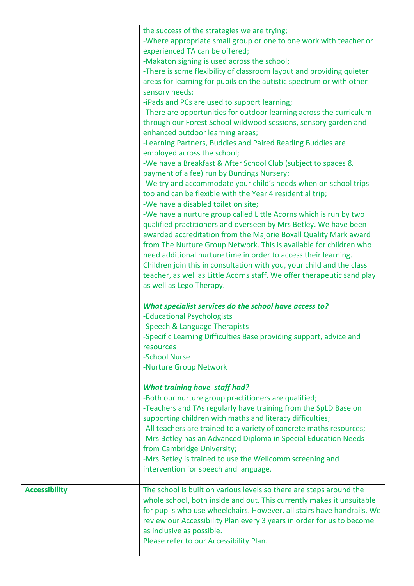|                      | the success of the strategies we are trying;<br>-Where appropriate small group or one to one work with teacher or<br>experienced TA can be offered;<br>-Makaton signing is used across the school;<br>-There is some flexibility of classroom layout and providing quieter<br>areas for learning for pupils on the autistic spectrum or with other<br>sensory needs;<br>-iPads and PCs are used to support learning;<br>-There are opportunities for outdoor learning across the curriculum<br>through our Forest School wildwood sessions, sensory garden and<br>enhanced outdoor learning areas;<br>-Learning Partners, Buddies and Paired Reading Buddies are<br>employed across the school;<br>-We have a Breakfast & After School Club (subject to spaces &<br>payment of a fee) run by Buntings Nursery;<br>-We try and accommodate your child's needs when on school trips<br>too and can be flexible with the Year 4 residential trip;<br>-We have a disabled toilet on site;<br>-We have a nurture group called Little Acorns which is run by two<br>qualified practitioners and overseen by Mrs Betley. We have been<br>awarded accreditation from the Majorie Boxall Quality Mark award<br>from The Nurture Group Network. This is available for children who<br>need additional nurture time in order to access their learning.<br>Children join this in consultation with you, your child and the class<br>teacher, as well as Little Acorns staff. We offer therapeutic sand play<br>as well as Lego Therapy.<br>What specialist services do the school have access to?<br>-Educational Psychologists<br>-Speech & Language Therapists<br>-Specific Learning Difficulties Base providing support, advice and<br>resources<br>-School Nurse<br>-Nurture Group Network<br><b>What training have staff had?</b><br>-Both our nurture group practitioners are qualified;<br>-Teachers and TAs regularly have training from the SpLD Base on<br>supporting children with maths and literacy difficulties;<br>-All teachers are trained to a variety of concrete maths resources;<br>-Mrs Betley has an Advanced Diploma in Special Education Needs |
|----------------------|-------------------------------------------------------------------------------------------------------------------------------------------------------------------------------------------------------------------------------------------------------------------------------------------------------------------------------------------------------------------------------------------------------------------------------------------------------------------------------------------------------------------------------------------------------------------------------------------------------------------------------------------------------------------------------------------------------------------------------------------------------------------------------------------------------------------------------------------------------------------------------------------------------------------------------------------------------------------------------------------------------------------------------------------------------------------------------------------------------------------------------------------------------------------------------------------------------------------------------------------------------------------------------------------------------------------------------------------------------------------------------------------------------------------------------------------------------------------------------------------------------------------------------------------------------------------------------------------------------------------------------------------------------------------------------------------------------------------------------------------------------------------------------------------------------------------------------------------------------------------------------------------------------------------------------------------------------------------------------------------------------------------------------------------------------------------------------------------------------------------------------------------------------------|
|                      | from Cambridge University;<br>-Mrs Betley is trained to use the Wellcomm screening and<br>intervention for speech and language.                                                                                                                                                                                                                                                                                                                                                                                                                                                                                                                                                                                                                                                                                                                                                                                                                                                                                                                                                                                                                                                                                                                                                                                                                                                                                                                                                                                                                                                                                                                                                                                                                                                                                                                                                                                                                                                                                                                                                                                                                             |
| <b>Accessibility</b> | The school is built on various levels so there are steps around the<br>whole school, both inside and out. This currently makes it unsuitable<br>for pupils who use wheelchairs. However, all stairs have handrails. We<br>review our Accessibility Plan every 3 years in order for us to become<br>as inclusive as possible.<br>Please refer to our Accessibility Plan.                                                                                                                                                                                                                                                                                                                                                                                                                                                                                                                                                                                                                                                                                                                                                                                                                                                                                                                                                                                                                                                                                                                                                                                                                                                                                                                                                                                                                                                                                                                                                                                                                                                                                                                                                                                     |